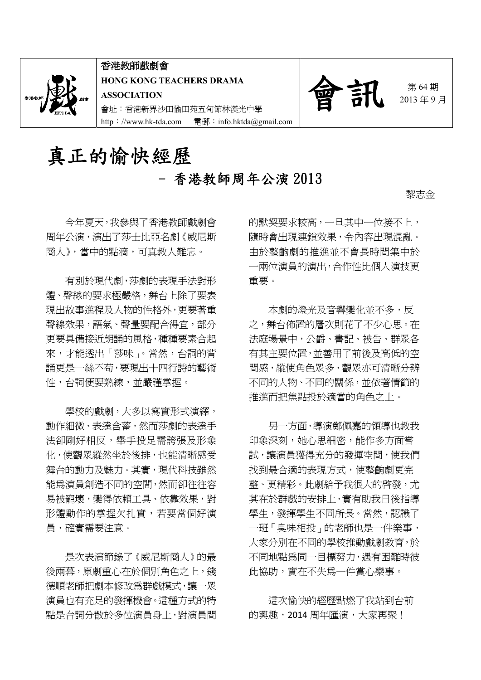

香港教師戲劇會 **HONG KONG TEACHERS DRAMA ASSOCIATION** 會址:香港新界沙田愉田苑五旬節林漢光中學 http://www.hk-tda.com 電郵:info.hktda@gmail.com



2013 年 9 月

# 真正的愉快經歷 - 香港教師周年公演 2013

黎志金

今年夏天,我參與了香港教師戲劇會 周年公演,演出了莎士比亞名劇《威尼斯 商人》,當中的點滴,可真教人難忘。

有別於現代劇,莎劇的表現手法對形 體、聲線的要求極嚴格,舞台上除了要表 現出故事進程及人物的性格外,更要著重 聲線效果,語氣、聲量要配合得宜,部分 更要具備接近朗誦的風格,種種要素合起 來,才能透出「莎味」。當然,台詞的背 誦更是一絲不苟,要現出十四行詩的藝術 性,台詞便要熟練,並嚴謹掌握。

學校的戲劇,大多以寫實形式演繹, 動作細微、表達含蓄,然而莎劇的表達手 法卻剛好相反,舉手投足需誇張及形象 化,使觀眾縱然坐於後排,也能清晰感受 舞台的動力及魅力。其實,現代科技雖然 能為演員創造不同的空間,然而卻往往容 易被寵壞,變得依賴工具、依靠效果,對 形體動作的掌握欠扎實,若要當個好演 員,確實需要注意。

是次表演節錄了《威尼斯商人》的最 後兩幕,原劇重心在於個別角色之上,錢 德順老師把劇本修改為群戲模式,讓一眾 演員也有充足的發揮機會。這種方式的特 點是台詞分散於多位演員身上,對演員間 的默契要求較高,一旦其中一位接不上, 隨時會出現連鎖效果,令內容出現混亂。 由於整齣劇的推進並不會長時間集中於 一兩位演員的演出,合作性比個人演技更 重要。

本劇的燈光及音響變化並不多,反 之,舞台佈置的層次則花了不少心思。在 法庭場景中,公爵、書記、被告、群眾各 有其主要位置,並善用了前後及高低的空 間感,縱使角色眾多,觀眾亦可清晰分辨 不同的人物、不同的關係,並依著情節的 推進而把焦點投於適當的角色之上。

另一方面,導演鄭佩嘉的領導也教我 印象深刻,她心思細密,能作多方面嘗 試,讓演員獲得充分的發揮空間,使我們 找到最合適的表現方式,使整齣劇更完 整、更精彩。此劇給予我很大的啟發,尤 其在於群戲的安排上,實有助我日後指導 學生,發揮學生不同所長。當然,認識了 一班「臭味相投」的老師也是一件樂事, 大家分別在不同的學校推動戲劇教育,於 不同地點為同一目標努力,遇有困難時彼 此協助,實在不失為一件賞心樂事。

這次愉快的經歷點燃了我站到台前 的興趣,2014 周年匯演,大家再聚!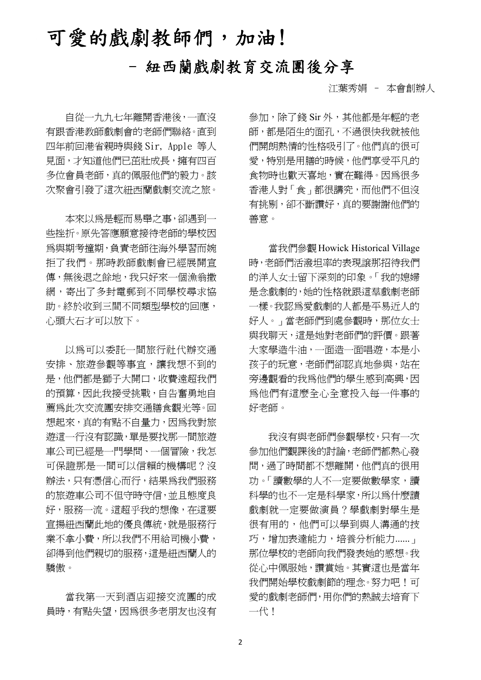# 可愛的戲劇教師們,加油!

## - 紐西蘭戲劇教育交流團後分享

江葉秀娟 – 本會創辦人

自從一九九七年離開香港後,一直沒 有跟香港教師戲劇會的老師們聯絡。直到 四年前回港省親時與錢 Sir, Apple 等人 見面,才知道他們已茁壯成長,擁有四百 多位會員老師,真的佩服他們的毅力。該 次聚會引發了這次紐西蘭戲劇交流之旅。

本來以為是輕而易舉之事,卻遇到一 些挫折。原先答應願意接待老師的學校因 為與期考撞期,負責老師往海外學習而婉 拒了我們。那時教師戲劇會已經展開宣 傳,無後退之餘地,我只好來一個漁翁撒 網,寄出了多封電郵到不同學校尋求協 助。終於收到三間不同類型學校的回應, 心頭大石才可以放下。

以為可以委託一間旅行社代辦交通 安排、旅遊參觀等事宜,讓我想不到的 是,他們都是獅子大開口,收費遠超我們 的預算,因此我接受挑戰,自告奮勇地自 薦為此次交流團安排交通膳食觀光等。回 想起來,真的有點不自量力,因為我對旅 遊這一行沒有認識,單是要找那一間旅遊 車公司已經是一門學問、一個冒險,我怎 可保證那是一間可以信賴的機構呢?沒 辦法,只有憑信心而行,結果為我們服務 的旅遊車公司不但守時守信,並且態度良 好,服務一流。這超乎我的想像,在這要 宣揚紐西蘭此地的優良傳統,就是服務行 業不拿小費,所以我們不用給司機小費, 卻得到他們親切的服務,這是紐西蘭人的 驕傲。

當我第一天到酒店迎接交流團的成 員時,有點失望,因為很多老朋友也沒有 參加,除了錢 Sir 外,其他都是年輕的老 師,都是陌生的面孔,不過很快我就被他 們開朗熱情的性格吸引了。他們真的很可 愛,特別是用膳的時候,他們享受平凡的 食物時也歡天喜地,實在難得。因為很多 香港人對「食」都很講究,而他們不但沒 有挑剔,卻不斷讚好,真的要謝謝他們的 善意。

當我們參觀Howick Historical Village 時,老師們活潑坦率的表現譲那招待我們 的洋人女士留下深刻的印象。「我的媳婦 是念戲劇的,她的性格就跟這羣戲劇老師 一樣。我認為愛戲劇的人都是平易近人的 好人。」當老師們到處參觀時,那位女士 與我聊天,這是她對老師們的評價。跟著 大家學造牛油,一面造一面唱遊,本是小 孩子的玩意,老師們卻認真地參與,站在 旁邊觀看的我為他們的學生感到高興,因 為他們有這麼全心全意投入每一件事的 好老師。

我沒有與老師們參觀學校,只有一次 參加他們觀課後的討論,老師們都熱心發 問,過了時間都不想離開,他們真的很用 功。「讀數學的人不一定要做數學家,讀 科學的也不一定是科學家,所以為什麼謮 戲劇就一定要做演員?學戲劇對學生是 很有用的,他們可以學到與人溝通的技 巧,增加表達能力,培養分析能力...... 那位學校的老師向我們發表她的感想。我 從心中佩服她,讚賞她。其實這也是當年 我們開始學校戲劇節的理念。努力吧!可 愛的戲劇老師們,用你們的熱誠去培育下 一代!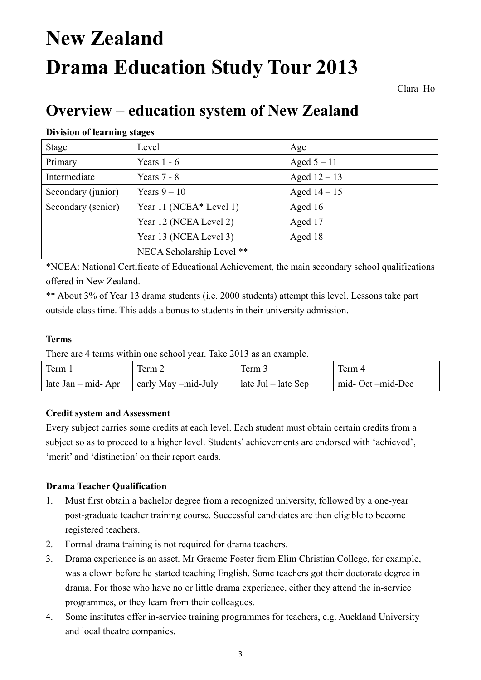# **New Zealand Drama Education Study Tour 2013**

Clara Ho

# **Overview – education system of New Zealand**

#### **Division of learning stages**

| <b>Stage</b>       | Level                     | Age            |
|--------------------|---------------------------|----------------|
| Primary            | Years $1 - 6$             | Aged $5 - 11$  |
| Intermediate       | Years $7 - 8$             | Aged $12 - 13$ |
| Secondary (junior) | Years $9-10$              | Aged $14-15$   |
| Secondary (senior) | Year 11 (NCEA* Level 1)   | Aged 16        |
|                    | Year 12 (NCEA Level 2)    | Aged 17        |
|                    | Year 13 (NCEA Level 3)    | Aged 18        |
|                    | NECA Scholarship Level ** |                |

\*NCEA: National Certificate of Educational Achievement, the main secondary school qualifications offered in New Zealand.

\*\* About 3% of Year 13 drama students (i.e. 2000 students) attempt this level. Lessons take part outside class time. This adds a bonus to students in their university admission.

#### **Terms**

There are 4 terms within one school year. Take 2013 as an example.

| Term                                                | Term 2 | Term 3                      | Term 4           |
|-----------------------------------------------------|--------|-----------------------------|------------------|
| late Jan – mid- Apr $\parallel$ early May –mid-July |        | $\vert$ late Jul – late Sep | mid-Oct –mid-Dec |

#### **Credit system and Assessment**

Every subject carries some credits at each level. Each student must obtain certain credits from a subject so as to proceed to a higher level. Students' achievements are endorsed with 'achieved', 'merit' and 'distinction' on their report cards.

#### **Drama Teacher Qualification**

- 1. Must first obtain a bachelor degree from a recognized university, followed by a one-year post-graduate teacher training course. Successful candidates are then eligible to become registered teachers.
- 2. Formal drama training is not required for drama teachers.
- 3. Drama experience is an asset. Mr Graeme Foster from Elim Christian College, for example, was a clown before he started teaching English. Some teachers got their doctorate degree in drama. For those who have no or little drama experience, either they attend the in-service programmes, or they learn from their colleagues.
- 4. Some institutes offer in-service training programmes for teachers, e.g. Auckland University and local theatre companies.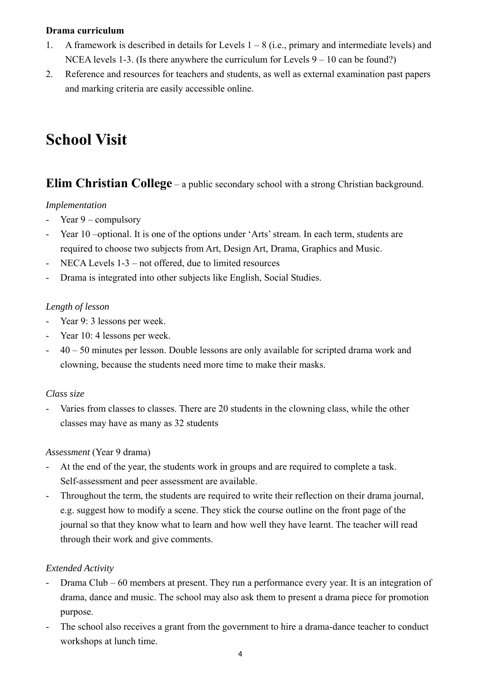#### **Drama curriculum**

- 1. A framework is described in details for Levels 1 8 (i.e., primary and intermediate levels) and NCEA levels 1-3. (Is there anywhere the curriculum for Levels  $9 - 10$  can be found?)
- 2. Reference and resources for teachers and students, as well as external examination past papers and marking criteria are easily accessible online.

# **School Visit**

#### **Elim Christian College** – a public secondary school with a strong Christian background.

#### *Implementation*

- Year 9 compulsory
- Year 10 –optional. It is one of the options under 'Arts' stream. In each term, students are required to choose two subjects from Art, Design Art, Drama, Graphics and Music.
- NECA Levels 1-3 not offered, due to limited resources
- Drama is integrated into other subjects like English, Social Studies.

#### *Length of lesson*

- Year 9: 3 lessons per week.
- Year 10: 4 lessons per week.
- 40 50 minutes per lesson. Double lessons are only available for scripted drama work and clowning, because the students need more time to make their masks.

#### *Class size*

Varies from classes to classes. There are 20 students in the clowning class, while the other classes may have as many as 32 students

#### *Assessment* (Year 9 drama)

- At the end of the year, the students work in groups and are required to complete a task. Self-assessment and peer assessment are available.
- Throughout the term, the students are required to write their reflection on their drama journal, e.g. suggest how to modify a scene. They stick the course outline on the front page of the journal so that they know what to learn and how well they have learnt. The teacher will read through their work and give comments.

#### *Extended Activity*

- Drama Club 60 members at present. They run a performance every year. It is an integration of drama, dance and music. The school may also ask them to present a drama piece for promotion purpose.
- The school also receives a grant from the government to hire a drama-dance teacher to conduct workshops at lunch time.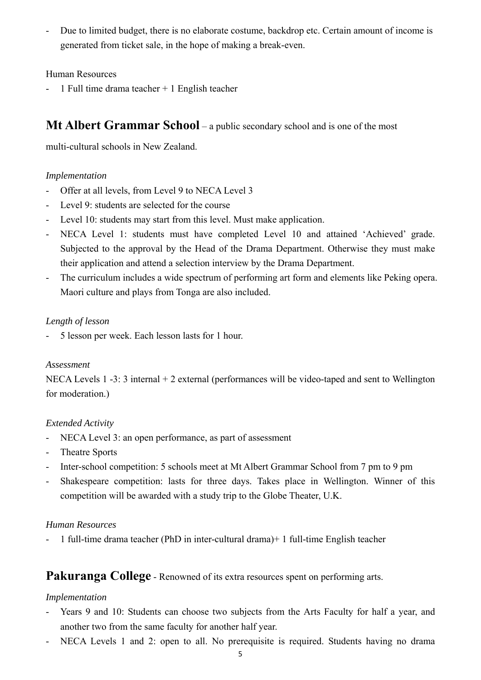- Due to limited budget, there is no elaborate costume, backdrop etc. Certain amount of income is generated from ticket sale, in the hope of making a break-even.

Human Resources

1 Full time drama teacher  $+$  1 English teacher

#### **Mt Albert Grammar School** – a public secondary school and is one of the most

multi-cultural schools in New Zealand.

#### *Implementation*

- Offer at all levels, from Level 9 to NECA Level 3
- Level 9: students are selected for the course
- Level 10: students may start from this level. Must make application.
- NECA Level 1: students must have completed Level 10 and attained 'Achieved' grade. Subjected to the approval by the Head of the Drama Department. Otherwise they must make their application and attend a selection interview by the Drama Department.
- The curriculum includes a wide spectrum of performing art form and elements like Peking opera. Maori culture and plays from Tonga are also included.

#### *Length of lesson*

- 5 lesson per week. Each lesson lasts for 1 hour.

#### *Assessment*

NECA Levels 1 -3: 3 internal + 2 external (performances will be video-taped and sent to Wellington for moderation.)

#### *Extended Activity*

- NECA Level 3: an open performance, as part of assessment
- Theatre Sports
- Inter-school competition: 5 schools meet at Mt Albert Grammar School from 7 pm to 9 pm
- Shakespeare competition: lasts for three days. Takes place in Wellington. Winner of this competition will be awarded with a study trip to the Globe Theater, U.K.

#### *Human Resources*

- 1 full-time drama teacher (PhD in inter-cultural drama)+ 1 full-time English teacher

#### **Pakuranga College** - Renowned of its extra resources spent on performing arts.

#### *Implementation*

- Years 9 and 10: Students can choose two subjects from the Arts Faculty for half a year, and another two from the same faculty for another half year.
- NECA Levels 1 and 2: open to all. No prerequisite is required. Students having no drama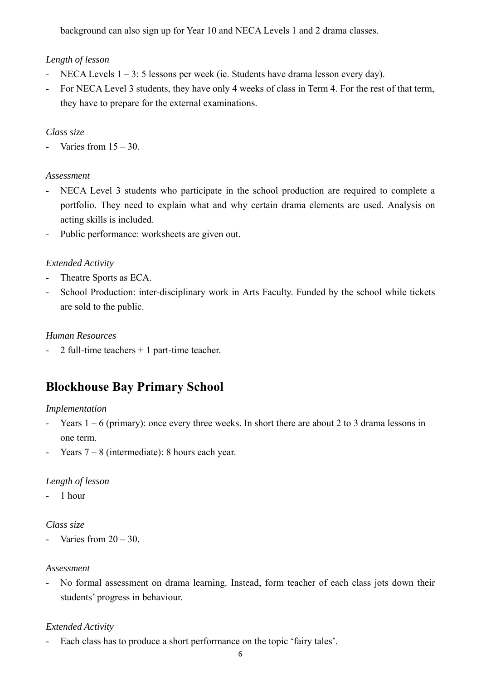background can also sign up for Year 10 and NECA Levels 1 and 2 drama classes.

#### *Length of lesson*

- NECA Levels 1 3: 5 lessons per week (ie. Students have drama lesson every day).
- For NECA Level 3 students, they have only 4 weeks of class in Term 4. For the rest of that term, they have to prepare for the external examinations.

#### *Class size*

- Varies from  $15 - 30$ .

#### *Assessment*

- NECA Level 3 students who participate in the school production are required to complete a portfolio. They need to explain what and why certain drama elements are used. Analysis on acting skills is included.
- Public performance: worksheets are given out.

#### *Extended Activity*

- Theatre Sports as ECA.
- School Production: inter-disciplinary work in Arts Faculty. Funded by the school while tickets are sold to the public.

#### *Human Resources*

- 2 full-time teachers + 1 part-time teacher.

### **Blockhouse Bay Primary School**

#### *Implementation*

- Years  $1 6$  (primary): once every three weeks. In short there are about 2 to 3 drama lessons in one term.
- Years  $7 8$  (intermediate): 8 hours each year.

#### *Length of lesson*

- 1 hour

#### *Class size*

Varies from  $20 - 30$ .

#### *Assessment*

- No formal assessment on drama learning. Instead, form teacher of each class jots down their students' progress in behaviour.

#### *Extended Activity*

- Each class has to produce a short performance on the topic 'fairy tales'.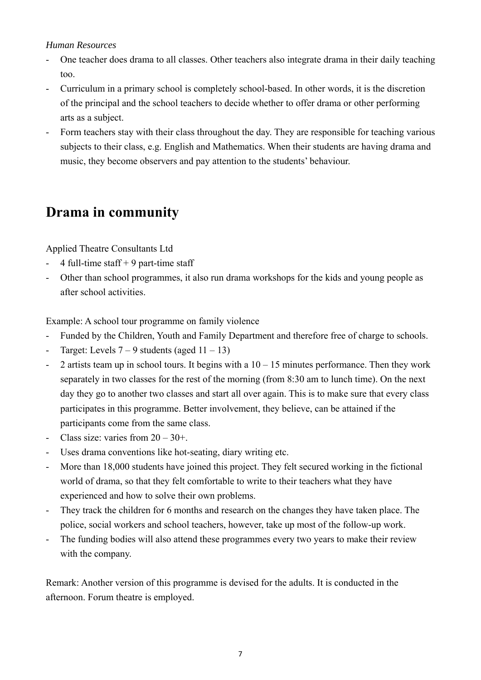#### *Human Resources*

- One teacher does drama to all classes. Other teachers also integrate drama in their daily teaching too.
- Curriculum in a primary school is completely school-based. In other words, it is the discretion of the principal and the school teachers to decide whether to offer drama or other performing arts as a subject.
- Form teachers stay with their class throughout the day. They are responsible for teaching various subjects to their class, e.g. English and Mathematics. When their students are having drama and music, they become observers and pay attention to the students' behaviour.

## **Drama in community**

Applied Theatre Consultants Ltd

- 4 full-time staff  $+9$  part-time staff
- Other than school programmes, it also run drama workshops for the kids and young people as after school activities.

Example: A school tour programme on family violence

- Funded by the Children, Youth and Family Department and therefore free of charge to schools.
- Target: Levels  $7 9$  students (aged  $11 13$ )
- 2 artists team up in school tours. It begins with a  $10 15$  minutes performance. Then they work separately in two classes for the rest of the morning (from 8:30 am to lunch time). On the next day they go to another two classes and start all over again. This is to make sure that every class participates in this programme. Better involvement, they believe, can be attained if the participants come from the same class.
- Class size: varies from  $20 30 +$ .
- Uses drama conventions like hot-seating, diary writing etc.
- More than 18,000 students have joined this project. They felt secured working in the fictional world of drama, so that they felt comfortable to write to their teachers what they have experienced and how to solve their own problems.
- They track the children for 6 months and research on the changes they have taken place. The police, social workers and school teachers, however, take up most of the follow-up work.
- The funding bodies will also attend these programmes every two years to make their review with the company.

Remark: Another version of this programme is devised for the adults. It is conducted in the afternoon. Forum theatre is employed.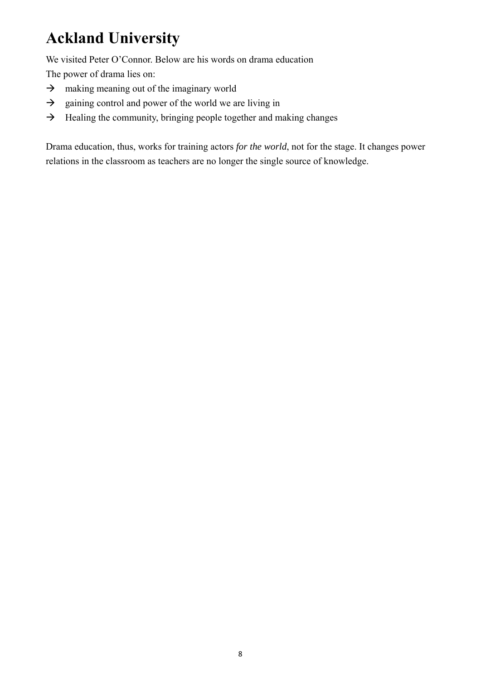# **Ackland University**

We visited Peter O'Connor. Below are his words on drama education

The power of drama lies on:

- $\rightarrow$  making meaning out of the imaginary world
- $\rightarrow$  gaining control and power of the world we are living in
- $\rightarrow$  Healing the community, bringing people together and making changes

Drama education, thus, works for training actors *for the world*, not for the stage. It changes power relations in the classroom as teachers are no longer the single source of knowledge.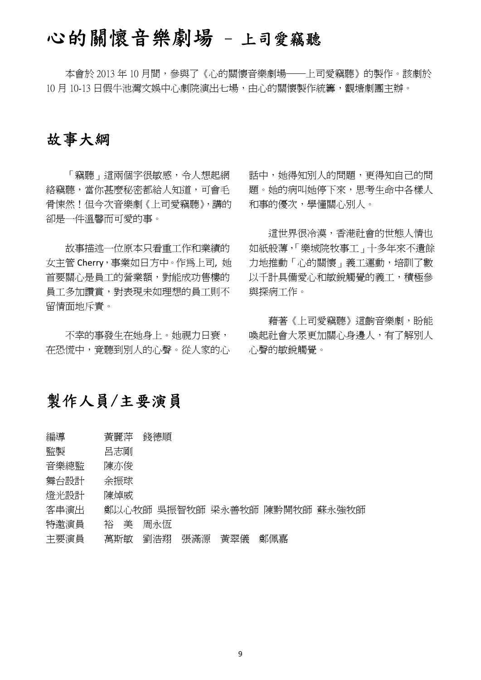# 心的關懷音樂劇場 - 上司愛竊聽

本會於 2013年10月間,參與了《心的關懷音樂劇場——上司愛竊聽》的製作。該劇於 10 月 10-13 日假牛池灣文娛中心劇院演出七場,由心的關懷製作統籌,觀塘劇團主辦。

### 故事大綱

「竊聽」這兩個字很敏感,令人想起網 絡竊聽,當你甚麼秘密都給人知道,可會毛 骨悚然!但今次音樂劇《上司愛竊聽》,講的 卻是一件溫馨而可愛的事。

故事描述一位原本只看重工作和業績的 女主管 Cherry,事業如日方中。作為上司, 她 首要關心是員工的營業額,對能成功售樓的 員工多加讚賞,對表現未如理想的員工則不 留情面地斥責。

不幸的事發生在她身上。她視力日衰, 在恐慌中,竟聽到別人的心聲。從人家的心 話中,她得知別人的問題,更得知自己的問 題。她的病叫她停下來,思考生命中各樣人 和事的優次,學懂關心別人。

這世界很冷漠,香港社會的世態人情也 如紙般薄,「樂城院牧事工」十多年來不遺餘 力地推動「心的關懷」義工運動,培訓了數 以千計具備愛心和敏銳觸覺的義工,積極參 與探病工作。

藉著《上司愛竊聽》這齣音樂劇,盼能 喚起社會大眾更加關心身邊人,有了解別人 心聲的敏銳觸覺。

### 製作人員/主要演員

- 編導 青麗萍 錢德順
- 監製 呂志剛
- 音樂總監 陳亦俊
- 舞台設計 余振球
- 燈光設計 陳焯威
- 客串演出 鄭以心牧師 吳振智牧師 梁永善牧師 陳黔開牧師 蘇永強牧師
- 特激演員 裕 美 周永恆
- 主要演員 萬斯敏 劉浩翔 張滿源 黃翠儀 鄭佩嘉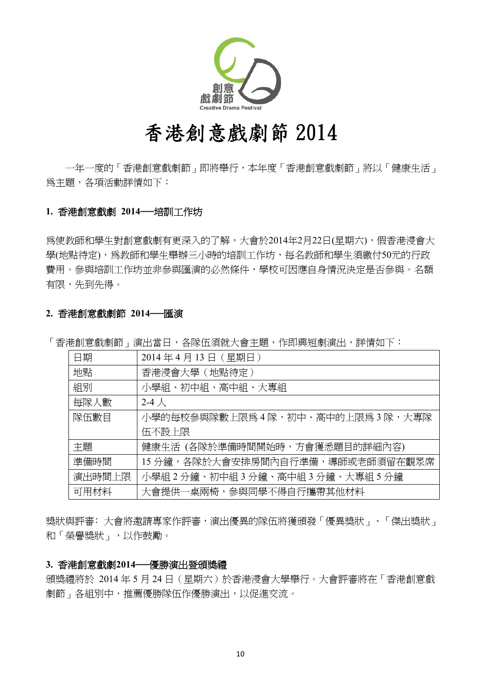

# 香港創意戲劇節 2014

一年一度的「香港創意戲劇節」即將舉行,本年度「香港創意戲劇節」將以「健康生活」 為主題,各項活動詳情如下:

#### **1.** 香港創意戲劇 **2014──**培訓工作坊

為使教師和學生對創意戲劇有更深入的了解,大會於2014年2月22日(星期六),假香港浸會大 學(地點待定),為教師和學生舉辦三小時的培訓工作坊,每名教師和學生須繳付50元的行政 費用。參與培訓工作坊並非參與匯演的必然條件,學校可因應自身情況決定是否參與。名額 有限,先到先得。

#### **2.** 香港創意戲劇節 **2014──**匯演

| 日期     | 2014年4月13日 (星期日)                |
|--------|---------------------------------|
| 地點     | 香港浸會大學(地點待定)                    |
| 組別     | 小學組、初中組、高中組、大專組                 |
| 每隊人數   | 2-4 $\lambda$                   |
| 隊伍數目   | 小學的每校參與隊數上限爲4隊,初中、高中的上限爲3隊,大專隊  |
|        | 伍不設上限                           |
| 主題     | 健康生活 (各隊於準備時間開始時,方會獲悉題目的詳細內容)   |
| 準備時間   | 15分鐘,各隊於大會安排房間內自行準備,導師或老師須留在觀眾席 |
| 演出時間上限 | 小學組2分鐘、初中組3分鐘、高中組3分鐘、大專組5分鐘     |
| 可用材料   | 大會提供一桌兩椅,參與同學不得自行攜帶其他材料         |

「香港創意戲劇節」演出當日,各隊伍須就大會主題,作即興短劇演出,詳情如下:

獎狀與評審:大會將邀請專家作評審,演出優異的隊伍將獲頒發「優異獎狀」、「傑出獎狀」 和「榮譽獎狀」,以作鼓勵。

#### **3.** 香港創意戲劇**2014──**優勝演出暨頒獎禮

頒獎禮將於 2014 年 5 月 24 日(星期六)於香港浸會大學舉行。大會評審將在「香港創意戲 劇節」各組別中,推薦優勝隊伍作優勝演出,以促進交流。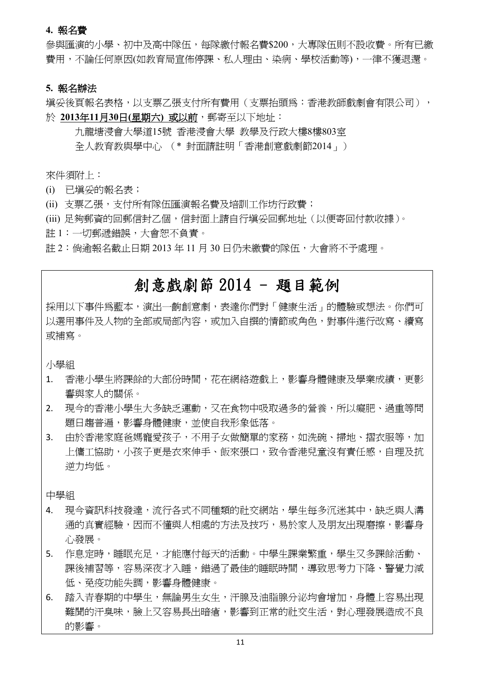#### **4.** 報名費

參與匯演的小學、初中及高中隊伍,每隊繳付報名費\$200,大專隊伍則不設收費。所有已繳 費用,不論任何原因(如教育局宣佈停課、私人理由、染病、學校活動等),一律不獲退還。

#### **5.** 報名辦法

填妥後頁報名表格,以支票乙張支付所有費用(支票抬頭為:香港教師戲劇會有限公司), 於 **2013**年**11**月**30**日**(**星期六**)** 或以前,郵寄至以下地址︰

九龍塘浸會大學道15號 香港浸會大學 教學及行政大樓8樓803室 全人教育教與學中心 (\* 封面請註明「香港創意戲劇節2014」)

來件須附上:

- (i) 已填妥的報名表;
- (ii) 支票乙張,支付所有隊伍匯演報名費及培訓工作坊行政費;
- (iii) 足夠郵資的回郵信封乙個,信封面上請自行填妥回郵地址(以便寄回付款收據)。
- 註 1:一切郵遞錯誤,大會恕不負責。

註 2:倘逾報名截止日期 2013 年 11 月 30 日仍未繳費的隊伍,大會將不予處理。

## 創意戲劇節 2014 - 題目範例

採用以下事件為藍本,演出一齣創意劇,表達你們對「健康生活」的體驗或想法。你們可 以選用事件及人物的全部或局部內容,或加入自撰的情節或角色,對事件進行改寫、續寫 或補寫。

小學組

- 1. 香港小學生將課餘的大部份時間,花在網絡遊戲上,影響身體健康及學業成績,更影 響與家人的關係。
- 2. 現今的香港小學生大多缺乏運動,又在食物中吸取過多的營養,所以癡肥、過重等問 題日趨普遍,影響身體健康,並使自我形象低落。
- 3. 由於香港家庭爸媽寵愛孩子,不用子女做簡單的家務,如洗碗、掃地、摺衣服等,加 上傭工協助,小孩子更是衣來伸手、飯來張口,致令香港兒童沒有責任感,自理及抗 逆力均低。

中學組

- 4. 現今資訊科技發達,流行各式不同種類的社交網站,學生每多沉迷其中,缺乏與人溝 通的真實經驗,因而不懂與人相處的方法及技巧,易於家人及朋友出現磨擦,影響身 心發展。
- 5. 作息定時,睡眠充足,才能應付每天的活動。中學生課業繁重,學生又多課餘活動、 課後補習等,容易深夜才入睡,錯過了最佳的睡眠時間,導致思考力下降、警覺力減 低、免疫功能失調,影響身體健康。
- 6. 踏入青春期的中學生,無論男生女生,汗腺及油脂腺分泌均會增加,身體上容易出現。 難聞的汗臭味,臉上又容易長出暗瘡,影響到正常的社交生活,對心理發展造成不良 的影響。